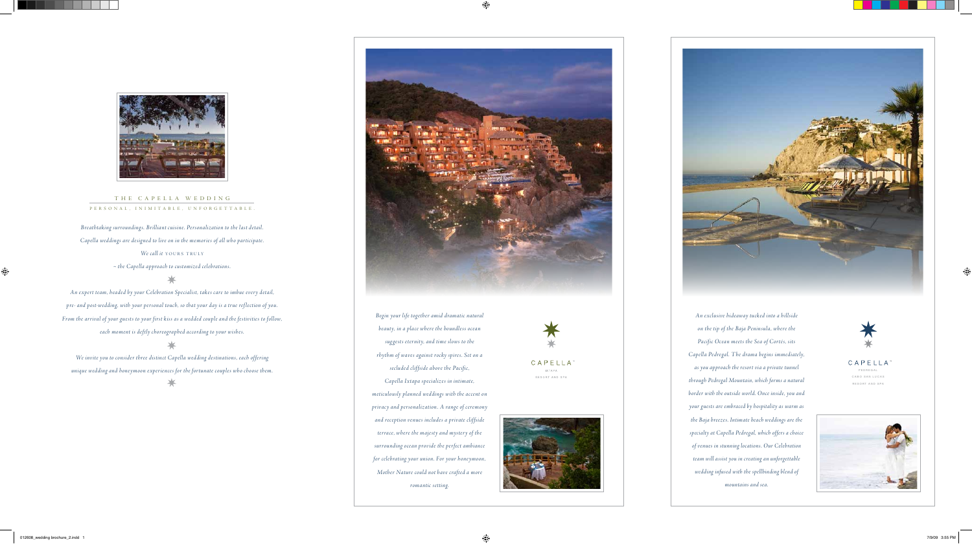*~ the Capella approach to customized celebrations.*

## ⊁

*We invite you to consider three distinct Capella wedding destinations, each of fering*  unique wedding and honeymoon experiences for the fortunate couples who choose them. PEOREAL PROGRAM SECONDATE SECONDATE SECONDATE SECONDATE SECONDATE OF PEORES AND SPALL PEORE GARD SAN LUCARD SAN LUCARD SAN LUCARD SAN LUCA



*An expert team, headed by your Celebration Specialist, takes care to imbue every detail, pre- and post-wedding, with your personal touch, so that your day is a true ref lection of you. From the arrival of your guests to your first kiss as a wedded couple and the festivities to follow, each moment is deftly choreog raphed according to your wishes.*

*Begin your life together amid dramatic natural beauty, in a place where the boundless ocean sug gests eternity, and time slows to the rhythm of waves against rocky spires. Set on a secluded clif fside above the Pacific,* 



## T h e C a p e l l a W e d d i n g P E R S O N A L , I N I M I T A B L E , U N F O R G E T T A B L E .

*Breathtaking surroundings. Brilliant cuisine. Personalization to the last detail. Capella weddings are designed to live on in the memories of all who participate. We call it YOURS TRULY* 

> *Capella Ixtapa specializes in intimate, meticulously planned weddings with the accent on privacy and personalization. A range of ceremony and reception venues includes a private clif fside terrace, where the majesty and mystery of the surrounding ocean provide the perfect ambiance for celebrating your union. For your honeymoon, Mother Nature could not have crafted a more romantic setting.*



CAPELLA





*An exclusive hideaway tucked into a hillside on the tip of the Baja Peninsula, where the Pacific Ocean meets the Sea of Cortés, sits Capella Pedregal. The drama begins immediately, as you approach the resort via a private tunnel* 

*through Pedregal Mountain, which forms a natural border with the outside world. Once inside, you and your guests are embraced by hospitality as warm as the Baja breezes. Intimate beach weddings are the specialty at Capella Pedregal, which offers a choice of venues in stunning locations. Our Celebration team will assist you in creating an unforgettable wedding infused with the spellbinding blend of mountains and sea.*

CAPELLA CABO SAN LUCAS RESORT AND SPA